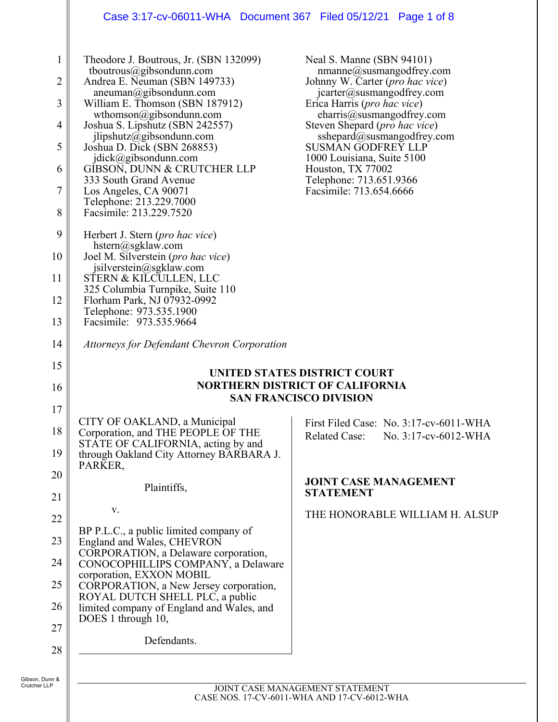## Case 3:17-cv-06011-WHA Document 367 Filed 05/12/21 Page 1 of 8

| $\mathbf{1}$<br>$\overline{2}$<br>3<br>$\overline{4}$<br>5<br>6 | Theodore J. Boutrous, Jr. (SBN 132099)<br>tboutrous@gibsondunn.com<br>Andrea E. Neuman (SBN 149733)<br>aneuman@gibsondunn.com<br>William E. Thomson (SBN 187912)<br>wthomson@gibsondunn.com<br>Joshua S. Lipshutz (SBN 242557)<br>jlipshutz@gibsondunn.com<br>Joshua D. Dick (SBN 268853)<br>jdick@gibsondunn.com<br>GIBSON, DUNN & CRUTCHER LLP | Neal S. Manne (SBN 94101)<br>$n$ manne@susmangodfrey.com<br>Johnny W. Carter (pro hac vice)<br>jcarter@susmangodfrey.com<br>Erica Harris (pro hac vice)<br>charris@susmangodfrey.com<br>Steven Shepard ( <i>pro hac vice</i> )<br>sshepard@susmangodfrey.com<br><b>SUSMAN GODFREY LLP</b><br>1000 Louisiana, Suite 5100<br>Houston, TX 77002 |
|-----------------------------------------------------------------|--------------------------------------------------------------------------------------------------------------------------------------------------------------------------------------------------------------------------------------------------------------------------------------------------------------------------------------------------|----------------------------------------------------------------------------------------------------------------------------------------------------------------------------------------------------------------------------------------------------------------------------------------------------------------------------------------------|
|                                                                 | 333 South Grand Avenue                                                                                                                                                                                                                                                                                                                           | Telephone: 713.651.9366                                                                                                                                                                                                                                                                                                                      |
| 7<br>8                                                          | Los Angeles, CA 90071<br>Telephone: 213.229.7000                                                                                                                                                                                                                                                                                                 | Facsimile: 713.654.6666                                                                                                                                                                                                                                                                                                                      |
|                                                                 | Facsimile: 213.229.7520                                                                                                                                                                                                                                                                                                                          |                                                                                                                                                                                                                                                                                                                                              |
| 9                                                               | Herbert J. Stern ( <i>pro hac vice</i> )<br>$h^{stern}(a)$ sgklaw.com                                                                                                                                                                                                                                                                            |                                                                                                                                                                                                                                                                                                                                              |
| 10                                                              | Joel M. Silverstein (pro hac vice)<br>jsilverstein@sgklaw.com                                                                                                                                                                                                                                                                                    |                                                                                                                                                                                                                                                                                                                                              |
| 11                                                              | STERN & KILCULLEN, LLC<br>325 Columbia Turnpike, Suite 110                                                                                                                                                                                                                                                                                       |                                                                                                                                                                                                                                                                                                                                              |
| 12                                                              | Florham Park, NJ 07932-0992<br>Telephone: 973.535.1900                                                                                                                                                                                                                                                                                           |                                                                                                                                                                                                                                                                                                                                              |
| 13                                                              | Facsimile: 973.535.9664                                                                                                                                                                                                                                                                                                                          |                                                                                                                                                                                                                                                                                                                                              |
| 14                                                              | Attorneys for Defendant Chevron Corporation                                                                                                                                                                                                                                                                                                      |                                                                                                                                                                                                                                                                                                                                              |
|                                                                 |                                                                                                                                                                                                                                                                                                                                                  |                                                                                                                                                                                                                                                                                                                                              |
| 15                                                              |                                                                                                                                                                                                                                                                                                                                                  |                                                                                                                                                                                                                                                                                                                                              |
| 16                                                              |                                                                                                                                                                                                                                                                                                                                                  | UNITED STATES DISTRICT COURT<br><b>NORTHERN DISTRICT OF CALIFORNIA</b>                                                                                                                                                                                                                                                                       |
| 17                                                              |                                                                                                                                                                                                                                                                                                                                                  | <b>SAN FRANCISCO DIVISION</b>                                                                                                                                                                                                                                                                                                                |
| 18                                                              | CITY OF OAKLAND, a Municipal                                                                                                                                                                                                                                                                                                                     | First Filed Case: No. 3:17-cv-6011-WHA                                                                                                                                                                                                                                                                                                       |
| 19                                                              | Corporation, and THE PEOPLE OF THE<br>STATE OF CALIFORNIA, acting by and<br>through Oakland City Attorney BARBARA J.                                                                                                                                                                                                                             | <b>Related Case:</b><br>No. 3:17-cv-6012-WHA                                                                                                                                                                                                                                                                                                 |
| 20                                                              | PARKER,                                                                                                                                                                                                                                                                                                                                          |                                                                                                                                                                                                                                                                                                                                              |
| 21                                                              | Plaintiffs,                                                                                                                                                                                                                                                                                                                                      | <b>JOINT CASE MANAGEMENT</b><br><b>STATEMENT</b>                                                                                                                                                                                                                                                                                             |
| 22                                                              | V.                                                                                                                                                                                                                                                                                                                                               | THE HONORABLE WILLIAM H. ALSUP                                                                                                                                                                                                                                                                                                               |
|                                                                 | BP P.L.C., a public limited company of                                                                                                                                                                                                                                                                                                           |                                                                                                                                                                                                                                                                                                                                              |
| 23                                                              | England and Wales, CHEVRON<br>CORPORATION, a Delaware corporation,                                                                                                                                                                                                                                                                               |                                                                                                                                                                                                                                                                                                                                              |
| 24                                                              | CONOCOPHILLIPS COMPANY, a Delaware<br>corporation, EXXON MOBIL                                                                                                                                                                                                                                                                                   |                                                                                                                                                                                                                                                                                                                                              |
| 25                                                              | CORPORATION, a New Jersey corporation,                                                                                                                                                                                                                                                                                                           |                                                                                                                                                                                                                                                                                                                                              |
| 26                                                              | ROYAL DUTCH SHELL PLC, a public<br>limited company of England and Wales, and                                                                                                                                                                                                                                                                     |                                                                                                                                                                                                                                                                                                                                              |
| 27                                                              | DOES 1 through 10,                                                                                                                                                                                                                                                                                                                               |                                                                                                                                                                                                                                                                                                                                              |
| 28                                                              | Defendants.                                                                                                                                                                                                                                                                                                                                      |                                                                                                                                                                                                                                                                                                                                              |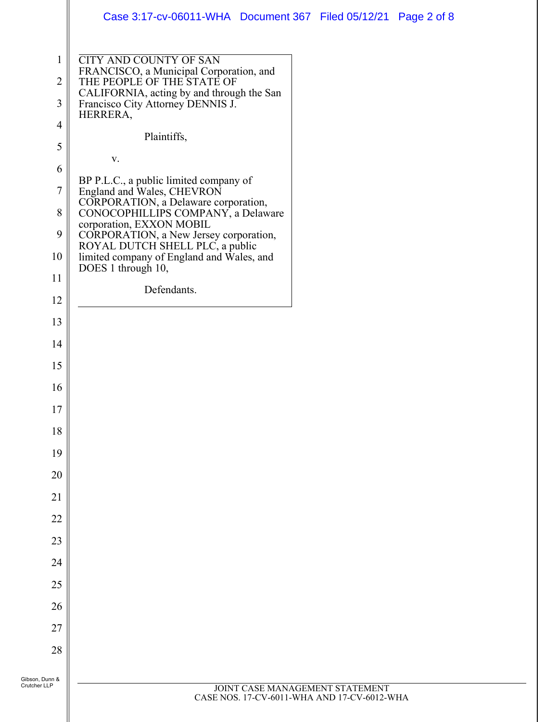|                                                                                         | Case 3:17-cv-06011-WHA Document 367 Filed 05/12/21 Page 2 of 8                                                                                                                                                                                                                                                                                                                                                                                                                                       |  |  |
|-----------------------------------------------------------------------------------------|------------------------------------------------------------------------------------------------------------------------------------------------------------------------------------------------------------------------------------------------------------------------------------------------------------------------------------------------------------------------------------------------------------------------------------------------------------------------------------------------------|--|--|
| $\mathbf{1}$<br>$\overline{2}$<br>3<br>$\overline{4}$<br>5<br>6<br>$\tau$<br>$8\,$<br>9 | <b>CITY AND COUNTY OF SAN</b><br>FRANCISCO, a Municipal Corporation, and<br>THE PEOPLE OF THE STATE OF<br>CALIFORNIA, acting by and through the San<br>Francisco City Attorney DENNIS J.<br>HERRERA,<br>Plaintiffs,<br>$\mathbf{V}$ .<br>BP P.L.C., a public limited company of<br>England and Wales, CHEVRON<br>CORPORATION, a Delaware corporation,<br>CONOCOPHILLIPS COMPANY, a Delaware<br>corporation, EXXON MOBIL<br>CORPORATION, a New Jersey corporation,<br>ROYAL DUTCH SHELL PLC, a public |  |  |
| 10<br>11                                                                                | limited company of England and Wales, and<br>DOES 1 through 10,                                                                                                                                                                                                                                                                                                                                                                                                                                      |  |  |
| 12                                                                                      | Defendants.                                                                                                                                                                                                                                                                                                                                                                                                                                                                                          |  |  |
| 13                                                                                      |                                                                                                                                                                                                                                                                                                                                                                                                                                                                                                      |  |  |
| 14                                                                                      |                                                                                                                                                                                                                                                                                                                                                                                                                                                                                                      |  |  |
| 15                                                                                      |                                                                                                                                                                                                                                                                                                                                                                                                                                                                                                      |  |  |
| 16                                                                                      |                                                                                                                                                                                                                                                                                                                                                                                                                                                                                                      |  |  |
| $17\,$                                                                                  |                                                                                                                                                                                                                                                                                                                                                                                                                                                                                                      |  |  |
| 18                                                                                      |                                                                                                                                                                                                                                                                                                                                                                                                                                                                                                      |  |  |
| 19                                                                                      |                                                                                                                                                                                                                                                                                                                                                                                                                                                                                                      |  |  |
| 20                                                                                      |                                                                                                                                                                                                                                                                                                                                                                                                                                                                                                      |  |  |
| 21                                                                                      |                                                                                                                                                                                                                                                                                                                                                                                                                                                                                                      |  |  |
| 22                                                                                      |                                                                                                                                                                                                                                                                                                                                                                                                                                                                                                      |  |  |
| 23                                                                                      |                                                                                                                                                                                                                                                                                                                                                                                                                                                                                                      |  |  |
| 24                                                                                      |                                                                                                                                                                                                                                                                                                                                                                                                                                                                                                      |  |  |
| 25                                                                                      |                                                                                                                                                                                                                                                                                                                                                                                                                                                                                                      |  |  |
| 26                                                                                      |                                                                                                                                                                                                                                                                                                                                                                                                                                                                                                      |  |  |
| 27                                                                                      |                                                                                                                                                                                                                                                                                                                                                                                                                                                                                                      |  |  |
| 28                                                                                      |                                                                                                                                                                                                                                                                                                                                                                                                                                                                                                      |  |  |
| Gibson, Dunn &                                                                          |                                                                                                                                                                                                                                                                                                                                                                                                                                                                                                      |  |  |
| Crutcher LLP                                                                            | JOINT CASE MANAGEMENT STATEMENT<br>CASE NOS. 17-CV-6011-WHA AND 17-CV-6012-WHA                                                                                                                                                                                                                                                                                                                                                                                                                       |  |  |

 $\mathbf l$ Ι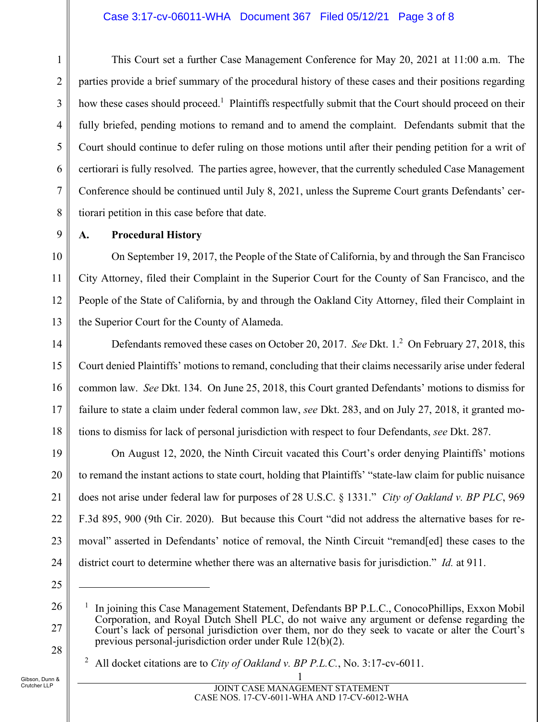### Case 3:17-cv-06011-WHA Document 367 Filed 05/12/21 Page 3 of 8

This Court set a further Case Management Conference for May 20, 2021 at 11:00 a.m. The parties provide a brief summary of the procedural history of these cases and their positions regarding how these cases should proceed.<sup>1</sup> Plaintiffs respectfully submit that the Court should proceed on their fully briefed, pending motions to remand and to amend the complaint. Defendants submit that the Court should continue to defer ruling on those motions until after their pending petition for a writ of certiorari is fully resolved. The parties agree, however, that the currently scheduled Case Management Conference should be continued until July 8, 2021, unless the Supreme Court grants Defendants' certiorari petition in this case before that date.

**A. Procedural History** 

10 11 12 13 On September 19, 2017, the People of the State of California, by and through the San Francisco City Attorney, filed their Complaint in the Superior Court for the County of San Francisco, and the People of the State of California, by and through the Oakland City Attorney, filed their Complaint in the Superior Court for the County of Alameda.

14 15 16 17 18 Defendants removed these cases on October 20, 2017. *See Dkt.* 1.<sup>2</sup> On February 27, 2018, this Court denied Plaintiffs' motions to remand, concluding that their claims necessarily arise under federal common law. *See* Dkt. 134. On June 25, 2018, this Court granted Defendants' motions to dismiss for failure to state a claim under federal common law, *see* Dkt. 283, and on July 27, 2018, it granted motions to dismiss for lack of personal jurisdiction with respect to four Defendants, *see* Dkt. 287.

19 20 21 22 23 24 On August 12, 2020, the Ninth Circuit vacated this Court's order denying Plaintiffs' motions to remand the instant actions to state court, holding that Plaintiffs' "state-law claim for public nuisance does not arise under federal law for purposes of 28 U.S.C. § 1331." *City of Oakland v. BP PLC*, 969 F.3d 895, 900 (9th Cir. 2020). But because this Court "did not address the alternative bases for removal" asserted in Defendants' notice of removal, the Ninth Circuit "remand[ed] these cases to the district court to determine whether there was an alternative basis for jurisdiction." *Id.* at 911.

25

 $\overline{a}$ 

26

27

28

1

2

3

4

5

6

7

8

9

2 All docket citations are to *City of Oakland v. BP P.L.C.*, No. 3:17-cv-6011.

1

<sup>1</sup> In joining this Case Management Statement, Defendants BP P.L.C., ConocoPhillips, Exxon Mobil Corporation, and Royal Dutch Shell PLC, do not waive any argument or defense regarding the Court's lack of personal jurisdiction over them, nor do they seek to vacate or alter the Court's previous personal-jurisdiction order under Rule 12(b)(2).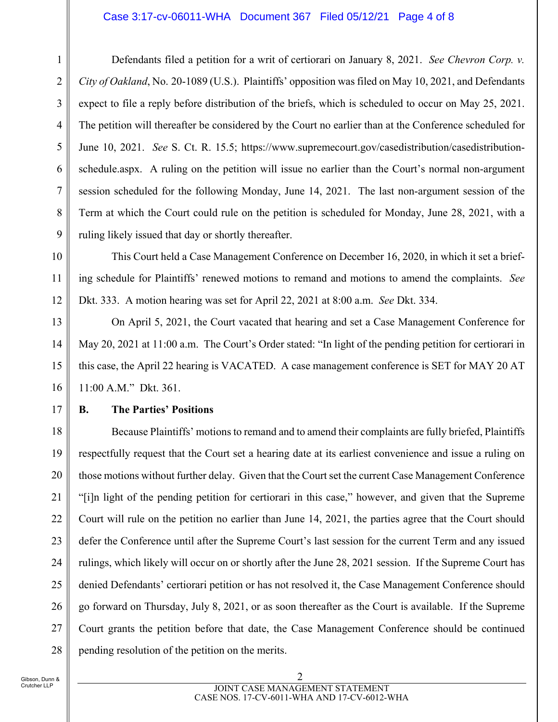#### Case 3:17-cv-06011-WHA Document 367 Filed 05/12/21 Page 4 of 8

Defendants filed a petition for a writ of certiorari on January 8, 2021. *See Chevron Corp. v. City of Oakland*, No. 20-1089 (U.S.). Plaintiffs' opposition was filed on May 10, 2021, and Defendants expect to file a reply before distribution of the briefs, which is scheduled to occur on May 25, 2021. The petition will thereafter be considered by the Court no earlier than at the Conference scheduled for June 10, 2021. *See* S. Ct. R. 15.5; https://www.supremecourt.gov/casedistribution/casedistributionschedule.aspx. A ruling on the petition will issue no earlier than the Court's normal non-argument session scheduled for the following Monday, June 14, 2021. The last non-argument session of the Term at which the Court could rule on the petition is scheduled for Monday, June 28, 2021, with a ruling likely issued that day or shortly thereafter.

This Court held a Case Management Conference on December 16, 2020, in which it set a briefing schedule for Plaintiffs' renewed motions to remand and motions to amend the complaints. *See*  Dkt. 333. A motion hearing was set for April 22, 2021 at 8:00 a.m. *See* Dkt. 334.

On April 5, 2021, the Court vacated that hearing and set a Case Management Conference for May 20, 2021 at 11:00 a.m. The Court's Order stated: "In light of the pending petition for certiorari in this case, the April 22 hearing is VACATED. A case management conference is SET for MAY 20 AT 11:00 A.M." Dkt. 361.

17

## **B. The Parties' Positions**

18 19 20 21 22 23 24 25 26 27 28 Because Plaintiffs' motions to remand and to amend their complaints are fully briefed, Plaintiffs respectfully request that the Court set a hearing date at its earliest convenience and issue a ruling on those motions without further delay. Given that the Court set the current Case Management Conference "[i]n light of the pending petition for certiorari in this case," however, and given that the Supreme Court will rule on the petition no earlier than June 14, 2021, the parties agree that the Court should defer the Conference until after the Supreme Court's last session for the current Term and any issued rulings, which likely will occur on or shortly after the June 28, 2021 session. If the Supreme Court has denied Defendants' certiorari petition or has not resolved it, the Case Management Conference should go forward on Thursday, July 8, 2021, or as soon thereafter as the Court is available. If the Supreme Court grants the petition before that date, the Case Management Conference should be continued pending resolution of the petition on the merits.

7

8

9

10

11

12

13

14

15

16

1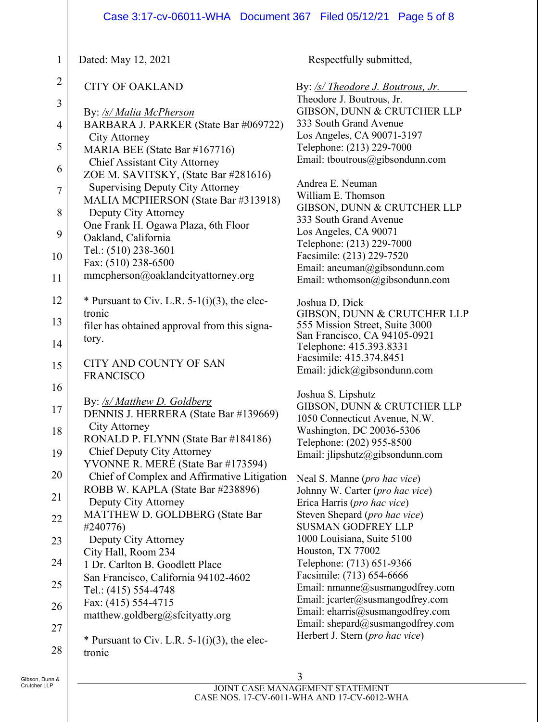# Case 3:17-cv-06011-WHA Document 367 Filed 05/12/21 Page 5 of 8

| 1              | Dated: May 12, 2021                                                              | Respectfully submitted,                                              |
|----------------|----------------------------------------------------------------------------------|----------------------------------------------------------------------|
| $\overline{2}$ | <b>CITY OF OAKLAND</b>                                                           | By: <u>/s/ Theodore J. Boutrous, Jr.</u>                             |
| 3              | By: /s/ Malia McPherson                                                          | Theodore J. Boutrous, Jr.<br>GIBSON, DUNN & CRUTCHER LLP             |
| $\overline{4}$ | BARBARA J. PARKER (State Bar #069722)<br>City Attorney                           | 333 South Grand Avenue<br>Los Angeles, CA 90071-3197                 |
| 5              | MARIA BEE (State Bar #167716)<br><b>Chief Assistant City Attorney</b>            | Telephone: (213) 229-7000<br>Email: tboutrous@gibsondunn.com         |
| 6              | ZOE M. SAVITSKY, (State Bar #281616)                                             | Andrea E. Neuman                                                     |
| $\overline{7}$ | <b>Supervising Deputy City Attorney</b><br>MALIA MCPHERSON (State Bar #313918)   | William E. Thomson                                                   |
| 8              | Deputy City Attorney<br>One Frank H. Ogawa Plaza, 6th Floor                      | GIBSON, DUNN & CRUTCHER LLP<br>333 South Grand Avenue                |
| 9              | Oakland, California                                                              | Los Angeles, CA 90071<br>Telephone: (213) 229-7000                   |
| 10             | Tel.: (510) 238-3601<br>Fax: (510) 238-6500                                      | Facsimile: (213) 229-7520<br>Email: aneuman@gibsondunn.com           |
| 11             | mmcpherson@oaklandcityattorney.org                                               | Email: wthomson@gibsondunn.com                                       |
| 12             | * Pursuant to Civ. L.R. $5-1(i)(3)$ , the elec-<br>tronic                        | Joshua D. Dick<br>GIBSON, DUNN & CRUTCHER LLP                        |
| 13             | filer has obtained approval from this signa-                                     | 555 Mission Street, Suite 3000<br>San Francisco, CA 94105-0921       |
| 14             | tory.                                                                            | Telephone: 415.393.8331<br>Facsimile: 415.374.8451                   |
| 15             | CITY AND COUNTY OF SAN<br><b>FRANCISCO</b>                                       | Email: jdick@gibsondunn.com                                          |
| 16             | By: /s/ Matthew D. Goldberg                                                      | Joshua S. Lipshutz                                                   |
| 17             | DENNIS J. HERRERA (State Bar #139669)                                            | GIBSON, DUNN & CRUTCHER LLP<br>1050 Connecticut Avenue, N.W.         |
| 18             | <b>City Attorney</b><br>RONALD P. FLYNN (State Bar #184186)                      | Washington, DC 20036-5306<br>Telephone: (202) 955-8500               |
| 19             | <b>Chief Deputy City Attorney</b><br>YVONNE R. MERÉ (State Bar #173594)          | Email: jlipshutz@gibsondunn.com                                      |
| 20             | Chief of Complex and Affirmative Litigation<br>ROBB W. KAPLA (State Bar #238896) | Neal S. Manne (pro hac vice)                                         |
| 21             | Deputy City Attorney                                                             | Johnny W. Carter (pro hac vice)<br>Erica Harris (pro hac vice)       |
| 22             | MATTHEW D. GOLDBERG (State Bar<br>#240776)                                       | Steven Shepard (pro hac vice)<br><b>SUSMAN GODFREY LLP</b>           |
| 23             | Deputy City Attorney<br>City Hall, Room 234                                      | 1000 Louisiana, Suite 5100<br>Houston, TX 77002                      |
| 24             | 1 Dr. Carlton B. Goodlett Place                                                  | Telephone: (713) 651-9366<br>Facsimile: (713) 654-6666               |
| 25             | San Francisco, California 94102-4602<br>Tel.: (415) 554-4748                     | Email: nmanne@susmangodfrey.com                                      |
| 26             | Fax: (415) 554-4715<br>matthew.goldberg@sfcityatty.org                           | Email: jcarter@susmangodfrey.com<br>Email: eharris@susmangodfrey.com |
| 27             | * Pursuant to Civ. L.R. $5-1(i)(3)$ , the elec-                                  | Email: shepard@susmangodfrey.com<br>Herbert J. Stern (pro hac vice)  |
| 28             | tronic                                                                           |                                                                      |
|                |                                                                                  |                                                                      |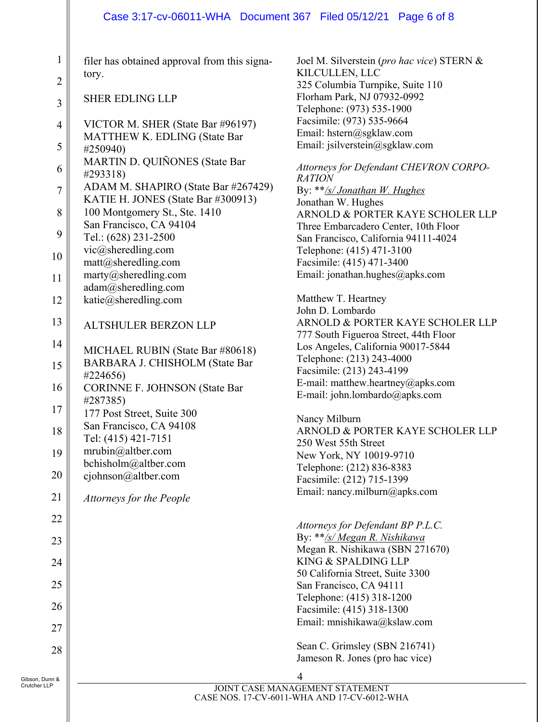#### Case 3:17-cv-06011-WHA Document 367 Filed 05/12/21 Page 6 of 8

| $\mathbf{1}$    | filer has obtained approval from this signa-             | Jo                   |
|-----------------|----------------------------------------------------------|----------------------|
| $\overline{c}$  | tory.                                                    | K<br>32              |
| 3               | <b>SHER EDLING LLP</b>                                   | F1<br>Tε             |
| $\overline{4}$  | VICTOR M. SHER (State Bar #96197)                        | Fa                   |
| 5               | MATTHEW K. EDLING (State Bar<br>#250940)                 | $E_1$<br>Er          |
| 6               | MARTIN D. QUIÑONES (State Bar                            | At                   |
| $\overline{7}$  | #293318)<br>ADAM M. SHAPIRO (State Bar #267429)          | $R_{\rm}$            |
|                 | KATIE H. JONES (State Bar #300913)                       | B <sub>2</sub><br>Jo |
| 8               | 100 Montgomery St., Ste. 1410<br>San Francisco, CA 94104 | $\mathbf{A}$<br>Tł   |
| 9               | Tel.: (628) 231-2500                                     | Sa                   |
| 10              | vic@sheredling.com<br>$\text{matt}(a)$ sheredling.com    | $T\epsilon$<br>Fa    |
| 11              | $\text{marty}(a)$ sheredling.com                         | $E_1$                |
| 12              | adam@sheredling.com<br>katie@sheredling.com              | M                    |
| 13              |                                                          | Jo<br>$\bf{A}$       |
|                 | <b>ALTSHULER BERZON LLP</b>                              | 77                   |
| 14              | MICHAEL RUBIN (State Bar #80618)                         | L<br>$T\epsilon$     |
| 15              | BARBARA J. CHISHOLM (State Bar<br>#224656)               | Fa                   |
| 16              | <b>CORINNE F. JOHNSON (State Bar</b>                     | $E-$<br>Ε-           |
| 17              | #287385)<br>177 Post Street, Suite 300                   |                      |
| 18              | San Francisco, CA 94108                                  | N:<br>$\mathbf{A}$   |
| 19              | Tel: (415) 421-7151<br>mrubin@alther.com                 | 25                   |
|                 | bchisholm@altber.com                                     | $\mathbf N$<br>Tε    |
| 20              | cjohnson@altber.com                                      | Fa                   |
| 21              | Attorneys for the People                                 | $E_1$                |
| 22              |                                                          | At                   |
| 23              |                                                          | $\mathbf{B}$<br>M    |
| 24              |                                                          | K                    |
| 25              |                                                          | 50<br>Sa             |
| 26              |                                                          | Tε                   |
|                 |                                                          | Fa<br>$E_1$          |
| 27              |                                                          | $S\epsilon$          |
| 28              |                                                          | Ja                   |
| Dunn &<br>r LLP | <b>IOINT CASE MAN</b>                                    | 4                    |

Gibson,  $Crutch<sub>e</sub>$ 

Joel M. Silverstein (*pro hac vice*) STERN & ILCULLEN, LLC 325 Columbia Turnpike, Suite 110 orham Park, NJ 07932-0992 elephone: (973) 535-1900 acsimile: (973) 535-9664 mail: hstern@sgklaw.com mail: jsilverstein@sgklaw.com

## *Attorneys for Defendant CHEVRON CORPO-RATION*  By: \*\**/s/ Jonathan W. Hughes*  nathan W. Hughes RNOLD & PORTER KAYE SCHOLER LLP hree Embarcadero Center, 10th Floor San Francisco, California 94111-4024 elephone: (415) 471-3100 acsimile: (415) 471-3400 mail: jonathan.hughes@apks.com

latthew T. Heartney hn D. Lombardo ARNOLD & PORTER KAYE SCHOLER LLP 777 South Figueroa Street, 44th Floor Los Angeles, California 90017-5844 elephone: (213) 243-4000 acsimile: (213) 243-4199 mail: matthew.heartney@apks.com E-mail: john.lombardo@apks.com

ancy Milburn ARNOLD & PORTER KAYE SCHOLER LLP 250 West 55th Street ew York, NY 10019-9710 elephone: (212) 836-8383 Facsimile: (212) 715-1399 mail: nancy.milburn@apks.com

*Attorneys for Defendant BP P.L.C.*  By: \*\**/s/ Megan R. Nishikawa*  legan R. Nishikawa (SBN 271670) ING & SPALDING LLP 50 California Street, Suite 3300 an Francisco, CA 94111 elephone: (415) 318-1200 Facsimile: (415) 318-1300 mail: mnishikawa@kslaw.com

ean C. Grimsley (SBN 216741) meson R. Jones (pro hac vice)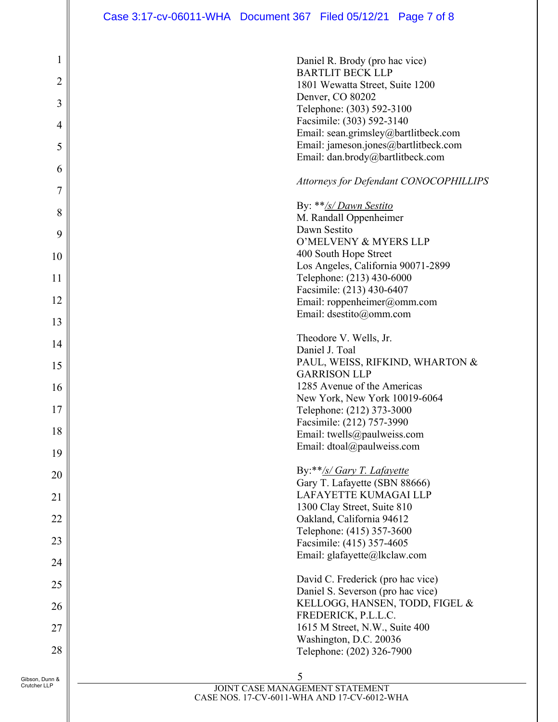1

Ш

2

3

4

5

6

7

8

9

10

11

12

13

14

15

16

17

18

19

20

21

22

23

24

25

26

27

28

Gibson, Dunn & Crutcher LLP

| Daniel R. Brody (pro hac vice)                                                 |
|--------------------------------------------------------------------------------|
| <b>BARTLIT BECK LLP</b>                                                        |
| 1801 Wewatta Street, Suite 1200                                                |
| Denver, CO 80202                                                               |
| Telephone: (303) 592-3100                                                      |
| Facsimile: (303) 592-3140                                                      |
| Email: sean.grimsley@bartlitbeck.com                                           |
| Email: jameson.jones@bartlitbeck.com                                           |
| Email: dan.brody@bartlitbeck.com                                               |
|                                                                                |
| Attorneys for Defendant CONOCOPHILLIPS                                         |
| By: **/s/ Dawn Sestito                                                         |
| M. Randall Oppenheimer                                                         |
| Dawn Sestito                                                                   |
| O'MELVENY & MYERS LLP                                                          |
| 400 South Hope Street                                                          |
| Los Angeles, California 90071-2899                                             |
| Telephone: (213) 430-6000                                                      |
| Facsimile: (213) 430-6407                                                      |
| Email: roppenheimer@omm.com<br>Email: dsestito@omm.com                         |
|                                                                                |
| Theodore V. Wells, Jr.                                                         |
| Daniel J. Toal                                                                 |
| PAUL, WEISS, RIFKIND, WHARTON &                                                |
| <b>GARRISON LLP</b>                                                            |
| 1285 Avenue of the Americas                                                    |
| New York, New York 10019-6064                                                  |
| Telephone: (212) 373-3000                                                      |
| Facsimile: (212) 757-3990<br>Email: twells@paulweiss.com                       |
| Email: dtoal@paulweiss.com                                                     |
|                                                                                |
| By:**/s/ Gary T. Lafayette                                                     |
| Gary T. Lafayette (SBN 88666)                                                  |
| <b>LAFAYETTE KUMAGAI LLP</b>                                                   |
| 1300 Clay Street, Suite 810                                                    |
| Oakland, California 94612                                                      |
| Telephone: (415) 357-3600<br>Facsimile: (415) 357-4605                         |
| Email: glafayette@lkclaw.com                                                   |
|                                                                                |
| David C. Frederick (pro hac vice)                                              |
| Daniel S. Severson (pro hac vice)                                              |
| KELLOGG, HANSEN, TODD, FIGEL &<br>FREDERICK, P.L.L.C.                          |
| 1615 M Street, N.W., Suite 400                                                 |
| Washington, D.C. 20036                                                         |
| Telephone: (202) 326-7900                                                      |
|                                                                                |
| 5                                                                              |
| JOINT CASE MANAGEMENT STATEMENT<br>CASE NOS. 17-CV-6011-WHA AND 17-CV-6012-WHA |